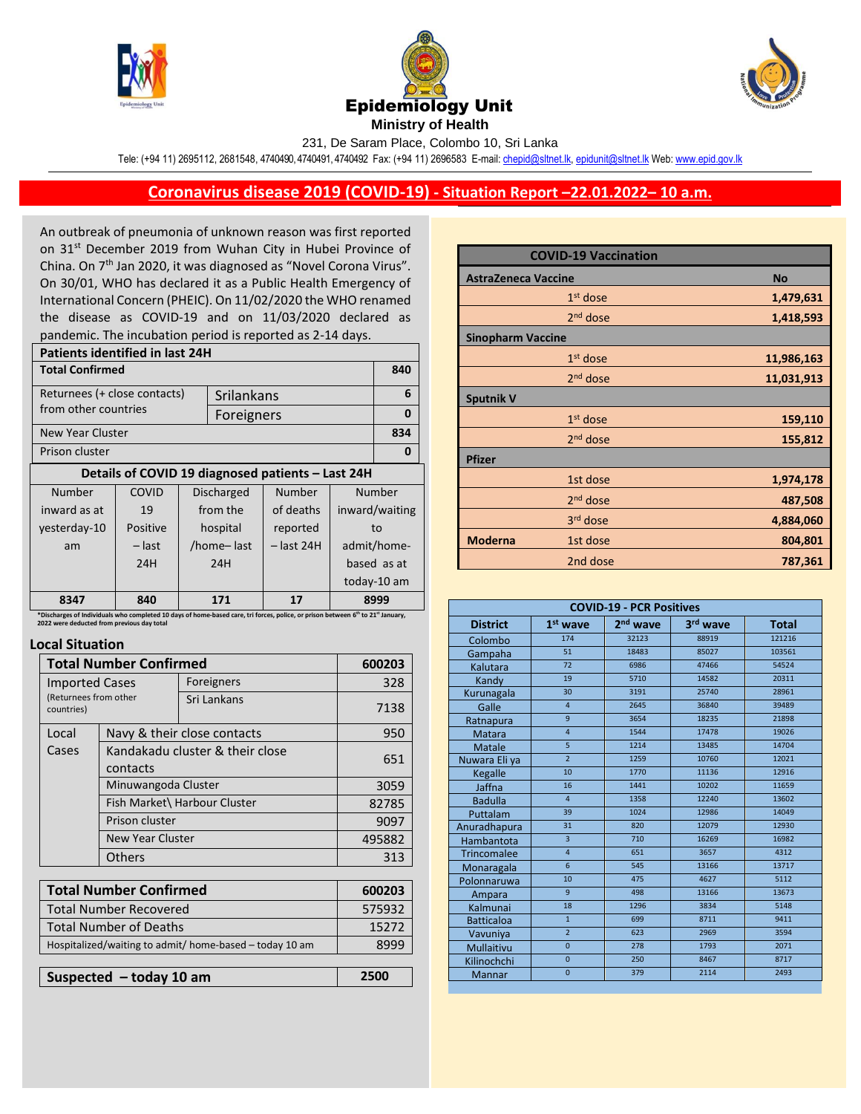





231, De Saram Place, Colombo 10, Sri Lanka

Tele: (+94 11) 2695112, 2681548, 4740490, 4740491, 4740492 Fax: (+94 11) 2696583 E-mail[: chepid@sltnet.lk,](mailto:chepi@sltnet.lk) [epidunit@sltnet.lk](mailto:epidunit@sltnet.lk) Web[: www.epid.gov.lk](http://www.epid.gov.lk/)

## **Coronavirus disease 2019 (COVID-19) - Situation Report –22.01.2022– 10 a.m.**

An outbreak of pneumonia of unknown reason was first reported on 31<sup>st</sup> December 2019 from Wuhan City in Hubei Province of China. On 7<sup>th</sup> Jan 2020, it was diagnosed as "Novel Corona Virus". On 30/01, WHO has declared it as a Public Health Emergency of International Concern (PHEIC). On 11/02/2020 the WHO renamed the disease as COVID-19 and on 11/03/2020 declared as pandemic. The incubation period is reported as 2-14 days.

| Patients identified in last 24H                                                                                                                         |                          |  |            |              |                |             |  |
|---------------------------------------------------------------------------------------------------------------------------------------------------------|--------------------------|--|------------|--------------|----------------|-------------|--|
| <b>Total Confirmed</b>                                                                                                                                  |                          |  |            |              | 840            |             |  |
| Returnees (+ close contacts)<br>Srilankans                                                                                                              |                          |  |            | 6            |                |             |  |
| from other countries<br>Foreigners                                                                                                                      |                          |  |            |              | 0              |             |  |
| New Year Cluster                                                                                                                                        |                          |  |            |              | 834            |             |  |
| Prison cluster                                                                                                                                          |                          |  |            | 0            |                |             |  |
| Details of COVID 19 diagnosed patients - Last 24H                                                                                                       |                          |  |            |              |                |             |  |
| Number                                                                                                                                                  | COVID                    |  | Discharged | Number       | Number         |             |  |
| inward as at                                                                                                                                            | 19                       |  | from the   | of deaths    | inward/waiting |             |  |
| yesterday-10                                                                                                                                            | Positive                 |  | hospital   | reported     | to             |             |  |
| am                                                                                                                                                      | – last                   |  | /home-last | $-$ last 24H | admit/home-    |             |  |
|                                                                                                                                                         | 24H                      |  | 24H        |              |                | based as at |  |
|                                                                                                                                                         |                          |  |            |              |                | today-10 am |  |
| 8347                                                                                                                                                    | 840<br>8999<br>171<br>17 |  |            |              |                |             |  |
| *Discharges of Individuals who completed 10 days of home-based care, tri forces, police, or prison between 6 <sup>th</sup> to 21 <sup>st</sup> January, |                          |  |            |              |                |             |  |

**\*Discharges of Individuals who completed 10 days of home-based care, tri forces, police, or prison between 6 2022 were deducted from previous day total** 

## **Local Situation**

| <b>Total Number Confirmed</b>       |                                 |                              | 600203 |
|-------------------------------------|---------------------------------|------------------------------|--------|
| <b>Imported Cases</b>               |                                 | Foreigners                   | 328    |
| (Returnees from other<br>countries) |                                 | Sri Lankans                  | 7138   |
| Local                               |                                 | Navy & their close contacts  | 950    |
| Cases                               | Kandakadu cluster & their close |                              | 651    |
|                                     | contacts                        |                              |        |
|                                     | Minuwangoda Cluster             |                              | 3059   |
|                                     |                                 | Fish Market\ Harbour Cluster | 82785  |
| Prison cluster                      |                                 |                              | 9097   |
| <b>New Year Cluster</b>             |                                 |                              | 495882 |
|                                     | <b>Others</b>                   |                              | 313    |
|                                     |                                 |                              |        |
|                                     | <b>Total Number Confirmed</b>   |                              | 600203 |
| <b>Total Number Recovered</b>       |                                 |                              | 575932 |
| Total Number of Deaths              |                                 |                              | 15777  |

| Suspected $-$ today 10 am                               | 2500  |
|---------------------------------------------------------|-------|
|                                                         |       |
| Hospitalized/waiting to admit/ home-based – today 10 am | 8999  |
| <b>Total Number of Deaths</b>                           | 15272 |

|                            | <b>COVID-19 Vaccination</b> |            |
|----------------------------|-----------------------------|------------|
| <b>AstraZeneca Vaccine</b> |                             | <b>No</b>  |
|                            | $1st$ dose                  | 1,479,631  |
|                            | 2 <sup>nd</sup> dose        | 1,418,593  |
| <b>Sinopharm Vaccine</b>   |                             |            |
|                            | $1st$ dose                  | 11,986,163 |
|                            | 2 <sup>nd</sup> dose        | 11,031,913 |
| <b>Sputnik V</b>           |                             |            |
|                            | $1st$ dose                  | 159,110    |
|                            | $2nd$ dose                  | 155,812    |
| <b>Pfizer</b>              |                             |            |
|                            | 1st dose                    | 1,974,178  |
|                            | 2 <sup>nd</sup> dose        | 487,508    |
|                            | 3rd dose                    | 4,884,060  |
| <b>Moderna</b>             | 1st dose                    | 804,801    |
|                            | 2nd dose                    | 787,361    |

| <b>COVID-19 - PCR Positives</b>                                                   |                 |       |       |        |  |
|-----------------------------------------------------------------------------------|-----------------|-------|-------|--------|--|
| $1st$ wave<br>2 <sup>nd</sup> wave<br>3rd wave<br><b>District</b><br><b>Total</b> |                 |       |       |        |  |
| Colombo                                                                           | 174             | 32123 | 88919 | 121216 |  |
| Gampaha                                                                           | 51              | 18483 | 85027 | 103561 |  |
| Kalutara                                                                          | 72              | 6986  | 47466 | 54524  |  |
| Kandy                                                                             | 19              | 5710  | 14582 | 20311  |  |
| Kurunagala                                                                        | 30              | 3191  | 25740 | 28961  |  |
| Galle                                                                             | $\overline{4}$  | 2645  | 36840 | 39489  |  |
| Ratnapura                                                                         | $\overline{9}$  | 3654  | 18235 | 21898  |  |
| <b>Matara</b>                                                                     | $\overline{4}$  | 1544  | 17478 | 19026  |  |
| Matale                                                                            | $\overline{5}$  | 1214  | 13485 | 14704  |  |
| Nuwara Eli ya                                                                     | $\overline{2}$  | 1259  | 10760 | 12021  |  |
| Kegalle                                                                           | 10              | 1770  | 11136 | 12916  |  |
| Jaffna                                                                            | 16              | 1441  | 10202 | 11659  |  |
| <b>Badulla</b>                                                                    | $\overline{4}$  | 1358  | 12240 | 13602  |  |
| Puttalam                                                                          | 39              | 1024  | 12986 | 14049  |  |
| Anuradhapura                                                                      | 31              | 820   | 12079 | 12930  |  |
| Hambantota                                                                        | $\overline{3}$  | 710   | 16269 | 16982  |  |
| <b>Trincomalee</b>                                                                | $\overline{4}$  | 651   | 3657  | 4312   |  |
| Monaragala                                                                        | $6\overline{6}$ | 545   | 13166 | 13717  |  |
| Polonnaruwa                                                                       | 10              | 475   | 4627  | 5112   |  |
| Ampara                                                                            | $\overline{9}$  | 498   | 13166 | 13673  |  |
| Kalmunai                                                                          | 18              | 1296  | 3834  | 5148   |  |
| <b>Batticaloa</b>                                                                 | $\mathbf{1}$    | 699   | 8711  | 9411   |  |
| Vavuniya                                                                          | $\overline{2}$  | 623   | 2969  | 3594   |  |
| Mullaitivu                                                                        | $\Omega$        | 278   | 1793  | 2071   |  |
| Kilinochchi                                                                       | $\mathbf{0}$    | 250   | 8467  | 8717   |  |
| Mannar                                                                            | $\overline{0}$  | 379   | 2114  | 2493   |  |